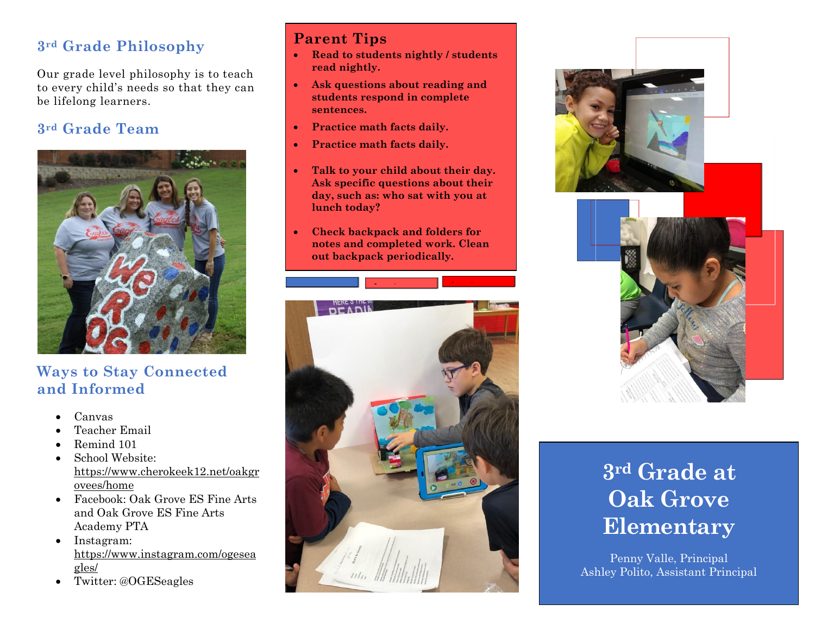## **3rd Grade Philosophy**

Our grade level philosophy is to teach to every child's needs so that they can be lifelong learners.

# **3rd Grade Team**



## **Ways to Stay Connected and Informed**

- Canvas
- Teacher Email
- Remind 101
- School Website: [https://www.cherokeek12.net/oakgr](https://nam02.safelinks.protection.outlook.com/?url=https%3A%2F%2Fwww.cherokeek12.net%2Foakgrovees%2Fhome&data=02%7C01%7CAna.Mirsajedin%40cherokeek12.net%7C4cc9fcc866644cec416108d7831f72c7%7Cafc04b26089b4cd6b9f02a3f280913be%7C0%7C0%7C637122043396166003&sdata=vepVfFuKG9DbeUU5OJbAonKHepKHhLHYKaBe4%2Bzojpc%3D&reserved=0) [ovees/home](https://nam02.safelinks.protection.outlook.com/?url=https%3A%2F%2Fwww.cherokeek12.net%2Foakgrovees%2Fhome&data=02%7C01%7CAna.Mirsajedin%40cherokeek12.net%7C4cc9fcc866644cec416108d7831f72c7%7Cafc04b26089b4cd6b9f02a3f280913be%7C0%7C0%7C637122043396166003&sdata=vepVfFuKG9DbeUU5OJbAonKHepKHhLHYKaBe4%2Bzojpc%3D&reserved=0)
- Facebook: [Oak Grove ES Fine Arts](https://nam02.safelinks.protection.outlook.com/?url=https%3A%2F%2Fwww.facebook.com%2Fprofile.php%3Fid%3D342722105818153%26ref%3Dbr_rs&data=02%7C01%7CAna.Mirsajedin%40cherokeek12.net%7C4cc9fcc866644cec416108d7831f72c7%7Cafc04b26089b4cd6b9f02a3f280913be%7C0%7C0%7C637122043396175998&sdata=7%2FJE9%2FdCRy%2BX3iwI09XvKYy0d24UBIxqxRLbOD9awd8%3D&reserved=0) and [Oak Grove ES Fine Arts](https://nam02.safelinks.protection.outlook.com/?url=https%3A%2F%2Fwww.facebook.com%2Fprofile.php%3Fid%3D110568272342005%26ref%3Dbr_rs&data=02%7C01%7CAna.Mirsajedin%40cherokeek12.net%7C4cc9fcc866644cec416108d7831f72c7%7Cafc04b26089b4cd6b9f02a3f280913be%7C0%7C0%7C637122043396175998&sdata=dhh08JQEwZqMd8RYve0Z1bH2nqegZDlB6QOvDOqyaVs%3D&reserved=0)  [Academy PTA](https://nam02.safelinks.protection.outlook.com/?url=https%3A%2F%2Fwww.facebook.com%2Fprofile.php%3Fid%3D110568272342005%26ref%3Dbr_rs&data=02%7C01%7CAna.Mirsajedin%40cherokeek12.net%7C4cc9fcc866644cec416108d7831f72c7%7Cafc04b26089b4cd6b9f02a3f280913be%7C0%7C0%7C637122043396175998&sdata=dhh08JQEwZqMd8RYve0Z1bH2nqegZDlB6QOvDOqyaVs%3D&reserved=0)
- Instagram: [https://www.instagram.com/ogesea](https://nam02.safelinks.protection.outlook.com/?url=https%3A%2F%2Fwww.instagram.com%2Fogeseagles%2F&data=02%7C01%7CAna.Mirsajedin%40cherokeek12.net%7C4cc9fcc866644cec416108d7831f72c7%7Cafc04b26089b4cd6b9f02a3f280913be%7C0%7C0%7C637122043396185991&sdata=Pe%2BfpJH44WsmLCY71lmRPupZ9pjQWr62JXT9lnPq8Jk%3D&reserved=0) [gles/](https://nam02.safelinks.protection.outlook.com/?url=https%3A%2F%2Fwww.instagram.com%2Fogeseagles%2F&data=02%7C01%7CAna.Mirsajedin%40cherokeek12.net%7C4cc9fcc866644cec416108d7831f72c7%7Cafc04b26089b4cd6b9f02a3f280913be%7C0%7C0%7C637122043396185991&sdata=Pe%2BfpJH44WsmLCY71lmRPupZ9pjQWr62JXT9lnPq8Jk%3D&reserved=0)
- Twitter: @OGESeagles

## **Parent Tips**

- **Read to students nightly / students read nightly.**
- **Ask questions about reading and students respond in complete sentences.**
- **Practice math facts daily.**
- **Practice math facts daily.**
- **Talk to your child about their day. Ask specific questions about their day, such as: who sat with you at lunch today?**
- **Check backpack and folders for notes and completed work. Clean out backpack periodically.**





# **3rd Grade at Oak Grove Elementary**

Penny Valle, Principal Ashley Polito, Assistant Principal